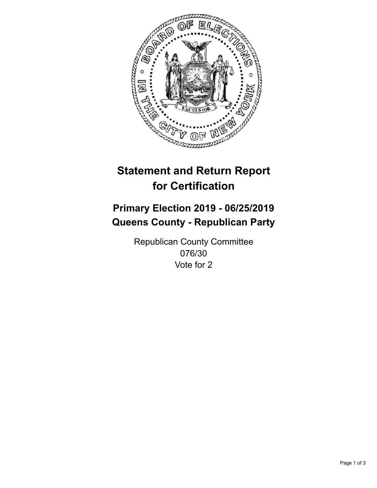

## **Statement and Return Report for Certification**

## **Primary Election 2019 - 06/25/2019 Queens County - Republican Party**

Republican County Committee 076/30 Vote for 2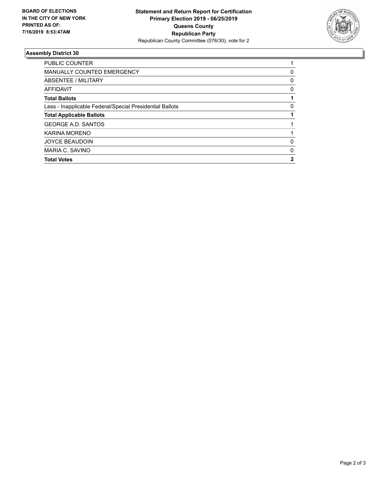

## **Assembly District 30**

| <b>Total Votes</b>                                       | 2 |
|----------------------------------------------------------|---|
| MARIA C. SAVINO                                          | 0 |
| <b>JOYCE BEAUDOIN</b>                                    | 0 |
| KARINA MORENO                                            |   |
| <b>GEORGE A.D. SANTOS</b>                                |   |
| <b>Total Applicable Ballots</b>                          |   |
| Less - Inapplicable Federal/Special Presidential Ballots | 0 |
| <b>Total Ballots</b>                                     |   |
| AFFIDAVIT                                                | 0 |
| ABSENTEE / MILITARY                                      | 0 |
| <b>MANUALLY COUNTED EMERGENCY</b>                        | 0 |
| PUBLIC COUNTER                                           |   |